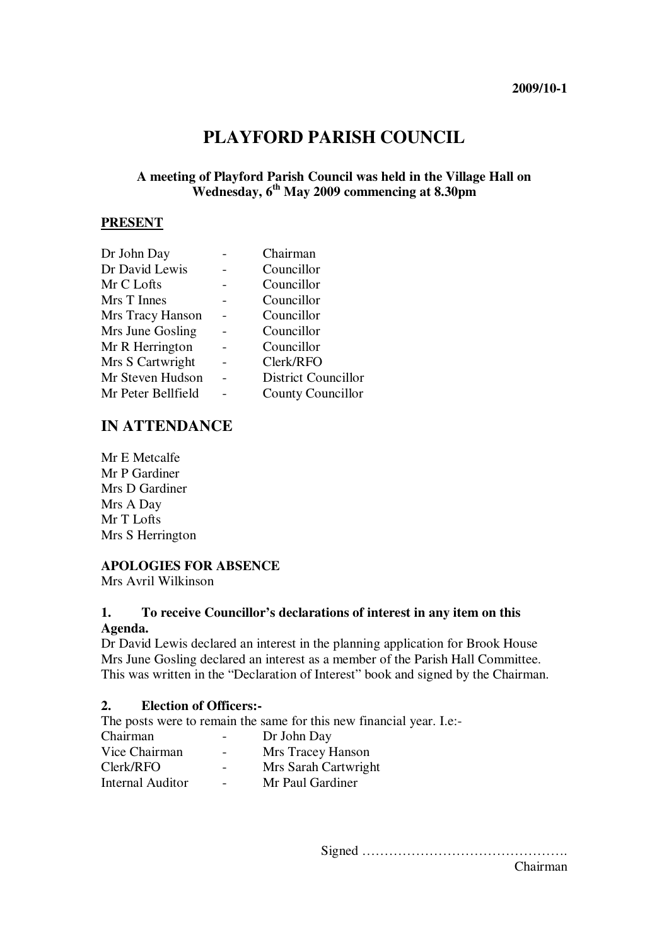# **PLAYFORD PARISH COUNCIL**

# **A meeting of Playford Parish Council was held in the Village Hall on Wednesday, 6th May 2009 commencing at 8.30pm**

#### **PRESENT**

| Dr John Day        | Chairman                   |
|--------------------|----------------------------|
| Dr David Lewis     | Councillor                 |
| Mr C Lofts         | Councillor                 |
| Mrs T Innes        | Councillor                 |
| Mrs Tracy Hanson   | Councillor                 |
| Mrs June Gosling   | Councillor                 |
| Mr R Herrington    | Councillor                 |
| Mrs S Cartwright   | Clerk/RFO                  |
| Mr Steven Hudson   | <b>District Councillor</b> |
| Mr Peter Bellfield | <b>County Councillor</b>   |

# **IN ATTENDANCE**

Mr E Metcalfe Mr P Gardiner Mrs D Gardiner Mrs A Day Mr T Lofts Mrs S Herrington

## **APOLOGIES FOR ABSENCE**

Mrs Avril Wilkinson

#### **1. To receive Councillor's declarations of interest in any item on this Agenda.**

Dr David Lewis declared an interest in the planning application for Brook House Mrs June Gosling declared an interest as a member of the Parish Hall Committee. This was written in the "Declaration of Interest" book and signed by the Chairman.

#### **2. Election of Officers:-**

The posts were to remain the same for this new financial year. I.e:-

| Chairman         | $\overline{\phantom{m}}$ | Dr John Day          |
|------------------|--------------------------|----------------------|
| Vice Chairman    | $\overline{\phantom{0}}$ | Mrs Tracey Hanson    |
| Clerk/RFO        | $\overline{\phantom{0}}$ | Mrs Sarah Cartwright |
| Internal Auditor | $\overline{\phantom{0}}$ | Mr Paul Gardiner     |

Signed ……………………………………….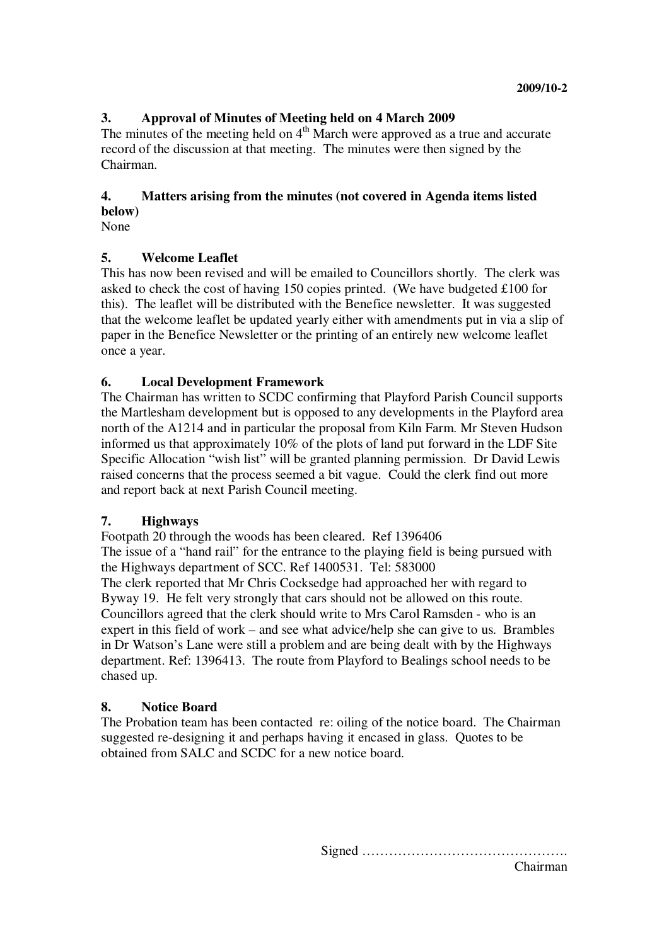# **3. Approval of Minutes of Meeting held on 4 March 2009**

The minutes of the meeting held on  $4<sup>th</sup>$  March were approved as a true and accurate record of the discussion at that meeting. The minutes were then signed by the Chairman.

### **4. Matters arising from the minutes (not covered in Agenda items listed below)**

None

## **5. Welcome Leaflet**

This has now been revised and will be emailed to Councillors shortly. The clerk was asked to check the cost of having 150 copies printed. (We have budgeted £100 for this). The leaflet will be distributed with the Benefice newsletter. It was suggested that the welcome leaflet be updated yearly either with amendments put in via a slip of paper in the Benefice Newsletter or the printing of an entirely new welcome leaflet once a year.

## **6. Local Development Framework**

The Chairman has written to SCDC confirming that Playford Parish Council supports the Martlesham development but is opposed to any developments in the Playford area north of the A1214 and in particular the proposal from Kiln Farm. Mr Steven Hudson informed us that approximately 10% of the plots of land put forward in the LDF Site Specific Allocation "wish list" will be granted planning permission. Dr David Lewis raised concerns that the process seemed a bit vague. Could the clerk find out more and report back at next Parish Council meeting.

# **7. Highways**

Footpath 20 through the woods has been cleared. Ref 1396406 The issue of a "hand rail" for the entrance to the playing field is being pursued with the Highways department of SCC. Ref 1400531. Tel: 583000 The clerk reported that Mr Chris Cocksedge had approached her with regard to Byway 19. He felt very strongly that cars should not be allowed on this route. Councillors agreed that the clerk should write to Mrs Carol Ramsden - who is an expert in this field of work – and see what advice/help she can give to us. Brambles in Dr Watson's Lane were still a problem and are being dealt with by the Highways department. Ref: 1396413. The route from Playford to Bealings school needs to be chased up.

# **8. Notice Board**

The Probation team has been contacted re: oiling of the notice board. The Chairman suggested re-designing it and perhaps having it encased in glass. Quotes to be obtained from SALC and SCDC for a new notice board.

> Signed ………………………………………. Chairman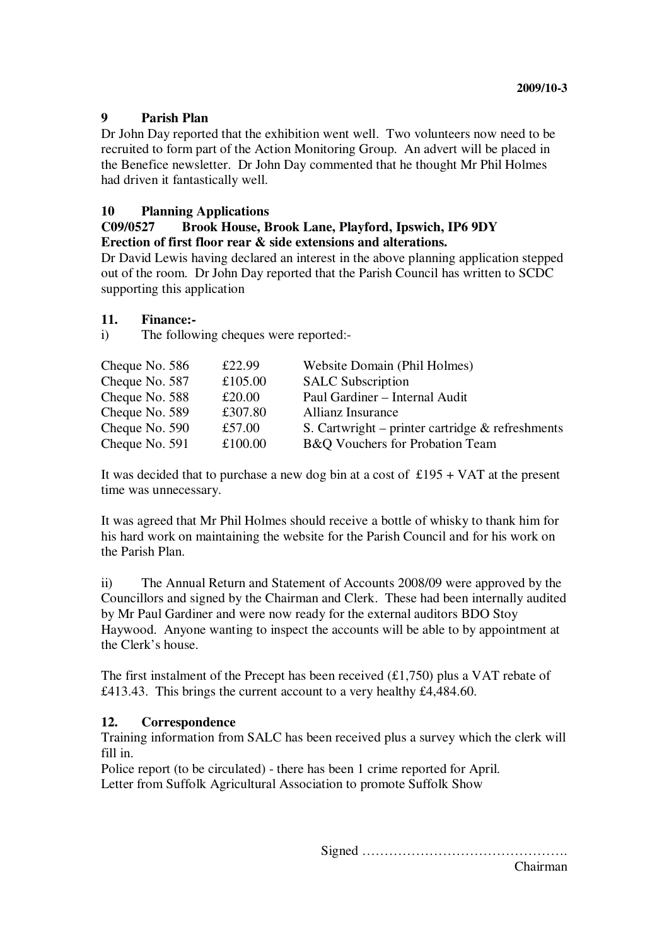## **9 Parish Plan**

Dr John Day reported that the exhibition went well. Two volunteers now need to be recruited to form part of the Action Monitoring Group. An advert will be placed in the Benefice newsletter. Dr John Day commented that he thought Mr Phil Holmes had driven it fantastically well.

## **10 Planning Applications**

#### **C09/0527 Brook House, Brook Lane, Playford, Ipswich, IP6 9DY Erection of first floor rear & side extensions and alterations.**

Dr David Lewis having declared an interest in the above planning application stepped out of the room. Dr John Day reported that the Parish Council has written to SCDC supporting this application

#### **11. Finance:-**

i) The following cheques were reported:-

| Cheque No. 586 | £22.99  | Website Domain (Phil Holmes)                        |
|----------------|---------|-----------------------------------------------------|
| Cheque No. 587 | £105.00 | <b>SALC Subscription</b>                            |
| Cheque No. 588 | £20.00  | Paul Gardiner - Internal Audit                      |
| Cheque No. 589 | £307.80 | Allianz Insurance                                   |
| Cheque No. 590 | £57.00  | S. Cartwright – printer cartridge $\&$ refreshments |
| Cheque No. 591 | £100.00 | B&Q Vouchers for Probation Team                     |

It was decided that to purchase a new dog bin at a cost of  $£195 + VAT$  at the present time was unnecessary.

It was agreed that Mr Phil Holmes should receive a bottle of whisky to thank him for his hard work on maintaining the website for the Parish Council and for his work on the Parish Plan.

ii) The Annual Return and Statement of Accounts 2008/09 were approved by the Councillors and signed by the Chairman and Clerk. These had been internally audited by Mr Paul Gardiner and were now ready for the external auditors BDO Stoy Haywood. Anyone wanting to inspect the accounts will be able to by appointment at the Clerk's house.

The first instalment of the Precept has been received  $(\text{\textsterling}1,750)$  plus a VAT rebate of £413.43. This brings the current account to a very healthy £4,484.60.

#### **12. Correspondence**

Training information from SALC has been received plus a survey which the clerk will fill in.

Police report (to be circulated) - there has been 1 crime reported for April. Letter from Suffolk Agricultural Association to promote Suffolk Show

Signed ……………………………………….